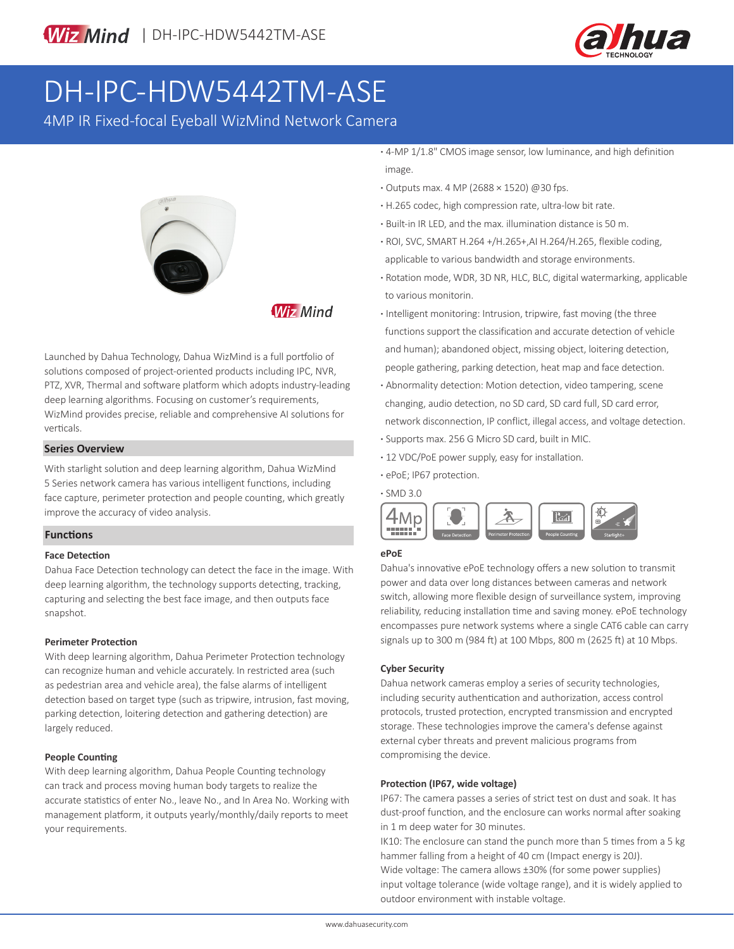

# DH-IPC-HDW5442TM-ASE

4MP IR Fixed-focal Eyeball WizMind Network Camera



**Wiz Mind** 

Launched by Dahua Technology, Dahua WizMind is a full portfolio of solutions composed of project-oriented products including IPC, NVR, PTZ, XVR, Thermal and software platform which adopts industry-leading deep learning algorithms. Focusing on customer's requirements, WizMind provides precise, reliable and comprehensive AI solutions for verticals.

### **Series Overview**

With starlight solution and deep learning algorithm, Dahua WizMind 5 Series network camera has various intelligent functions, including face capture, perimeter protection and people counting, which greatly improve the accuracy of video analysis.

# **Functions**

### **Face Detection**

Dahua Face Detection technology can detect the face in the image. With deep learning algorithm, the technology supports detecting, tracking, capturing and selecting the best face image, and then outputs face snapshot.

### **Perimeter Protection**

With deep learning algorithm, Dahua Perimeter Protection technology can recognize human and vehicle accurately. In restricted area (such as pedestrian area and vehicle area), the false alarms of intelligent detection based on target type (such as tripwire, intrusion, fast moving, parking detection, loitering detection and gathering detection) are largely reduced.

### **People Counting**

With deep learning algorithm, Dahua People Counting technology can track and process moving human body targets to realize the accurate statistics of enter No., leave No., and In Area No. Working with management platform, it outputs yearly/monthly/daily reports to meet your requirements.

**·** 4-MP 1/1.8" CMOS image sensor, low luminance, and high definition image.

- **·** Outputs max. 4 MP (2688 × 1520) @30 fps.
- **·** H.265 codec, high compression rate, ultra-low bit rate.
- **·** Built-in IR LED, and the max. illumination distance is 50 m.
- **·** ROI, SVC, SMART H.264 +/H.265+,AI H.264/H.265, flexible coding, applicable to various bandwidth and storage environments.
- **·** Rotation mode, WDR, 3D NR, HLC, BLC, digital watermarking, applicable to various monitorin.
- **·** Intelligent monitoring: Intrusion, tripwire, fast moving (the three functions support the classification and accurate detection of vehicle and human); abandoned object, missing object, loitering detection, people gathering, parking detection, heat map and face detection.
- **·** Abnormality detection: Motion detection, video tampering, scene changing, audio detection, no SD card, SD card full, SD card error, network disconnection, IP conflict, illegal access, and voltage detection.
- **·** Supports max. 256 G Micro SD card, built in MIC.
- **·** 12 VDC/PoE power supply, easy for installation.
- **·** ePoE; IP67 protection.



# **ePoE**

Dahua's innovative ePoE technology offers a new solution to transmit power and data over long distances between cameras and network switch, allowing more flexible design of surveillance system, improving reliability, reducing installation time and saving money. ePoE technology encompasses pure network systems where a single CAT6 cable can carry signals up to 300 m (984 ft) at 100 Mbps, 800 m (2625 ft) at 10 Mbps.

### **Cyber Security**

Dahua network cameras employ a series of security technologies, including security authentication and authorization, access control protocols, trusted protection, encrypted transmission and encrypted storage. These technologies improve the camera's defense against external cyber threats and prevent malicious programs from compromising the device.

### **Protection (IP67, wide voltage)**

IP67: The camera passes a series of strict test on dust and soak. It has dust-proof function, and the enclosure can works normal after soaking in 1 m deep water for 30 minutes.

IK10: The enclosure can stand the punch more than 5 times from a 5 kg hammer falling from a height of 40 cm (Impact energy is 20J). Wide voltage: The camera allows ±30% (for some power supplies) input voltage tolerance (wide voltage range), and it is widely applied to outdoor environment with instable voltage.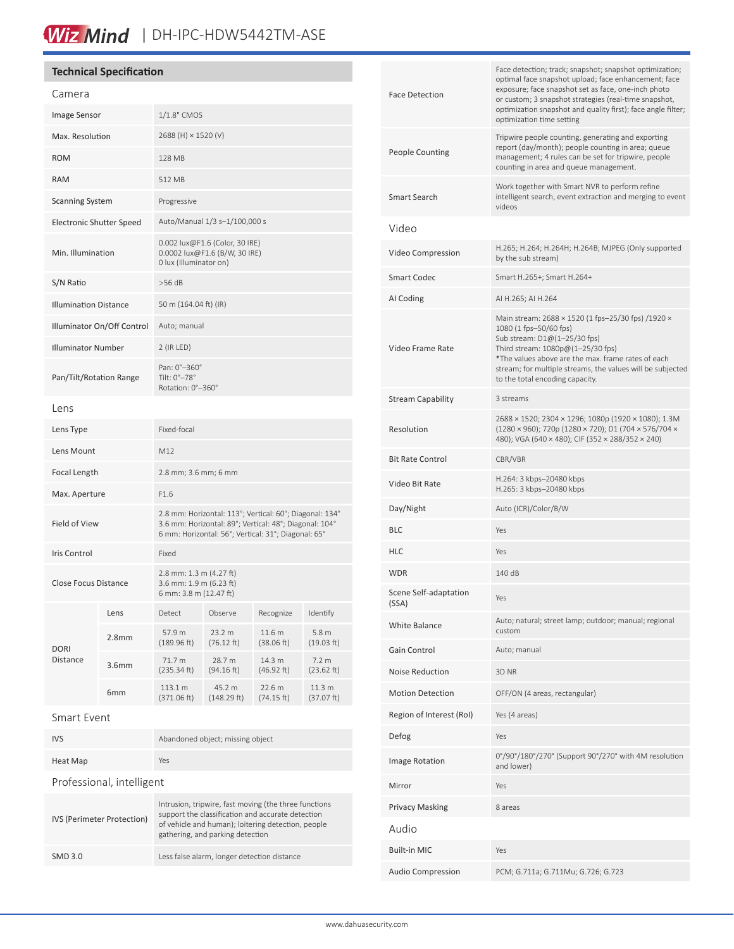# Wiz Mind | DH-IPC-HDW5442TM-ASE

# **Technical Specification**

| Camera                          |                   |                                                                                                                                                                          |                       |                      |                                 |
|---------------------------------|-------------------|--------------------------------------------------------------------------------------------------------------------------------------------------------------------------|-----------------------|----------------------|---------------------------------|
| Image Sensor                    |                   | $1/1.8"$ CMOS                                                                                                                                                            |                       |                      |                                 |
| Max. Resolution                 |                   | 2688 (H) × 1520 (V)                                                                                                                                                      |                       |                      |                                 |
| <b>ROM</b>                      |                   | 128 MB                                                                                                                                                                   |                       |                      |                                 |
| <b>RAM</b>                      |                   | 512 MB                                                                                                                                                                   |                       |                      |                                 |
| <b>Scanning System</b>          |                   | Progressive                                                                                                                                                              |                       |                      |                                 |
| <b>Electronic Shutter Speed</b> |                   | Auto/Manual 1/3 s-1/100,000 s                                                                                                                                            |                       |                      |                                 |
| Min. Illumination               |                   | 0.002 lux@F1.6 (Color, 30 IRE)<br>0.0002 lux@F1.6 (B/W, 30 IRE)<br>0 lux (Illuminator on)                                                                                |                       |                      |                                 |
| S/N Ratio                       |                   | $>56$ dB                                                                                                                                                                 |                       |                      |                                 |
| <b>Illumination Distance</b>    |                   | 50 m (164.04 ft) (IR)                                                                                                                                                    |                       |                      |                                 |
| Illuminator On/Off Control      |                   | Auto; manual                                                                                                                                                             |                       |                      |                                 |
| <b>Illuminator Number</b>       |                   | 2 (IR LED)                                                                                                                                                               |                       |                      |                                 |
| Pan/Tilt/Rotation Range         |                   | Pan: 0°-360°<br>Tilt: 0°-78°<br>Rotation: 0°-360°                                                                                                                        |                       |                      |                                 |
| Lens                            |                   |                                                                                                                                                                          |                       |                      |                                 |
| Lens Type                       |                   | Fixed-focal                                                                                                                                                              |                       |                      |                                 |
| Lens Mount                      |                   | M12                                                                                                                                                                      |                       |                      |                                 |
| Focal Length                    |                   | 2.8 mm; 3.6 mm; 6 mm                                                                                                                                                     |                       |                      |                                 |
| Max. Aperture                   |                   | F1.6                                                                                                                                                                     |                       |                      |                                 |
| Field of View                   |                   | 2.8 mm: Horizontal: 113°; Vertical: 60°; Diagonal: 134°<br>3.6 mm: Horizontal: 89°; Vertical: 48°; Diagonal: 104°<br>6 mm: Horizontal: 56°; Vertical: 31°; Diagonal: 65° |                       |                      |                                 |
| Iris Control                    |                   | Fixed                                                                                                                                                                    |                       |                      |                                 |
| Close Focus Distance            |                   | 2.8 mm: 1.3 m (4.27 ft)<br>3.6 mm: 1.9 m (6.23 ft)<br>6 mm: 3.8 m (12.47 ft)                                                                                             |                       |                      |                                 |
| <b>DORI</b><br>Distance         | Lens              | Detect                                                                                                                                                                   | Observe               | Recognize            | Identify                        |
|                                 | 2.8 <sub>mm</sub> | 57.9 m<br>(189.96 ft)                                                                                                                                                    | 23.2 m<br>(76.12 ft)  | 11.6 m<br>(38.06 ft) | 5.8 <sub>m</sub><br>(19.03 ft)  |
|                                 | 3.6 <sub>mm</sub> | 71.7 m<br>(235.34 ft)                                                                                                                                                    | 28.7 m<br>(94.16 ft)  | 14.3 m<br>(46.92 ft) | 7.2 m<br>(23.62 ft)             |
|                                 | 6mm               | 113.1 m<br>(371.06 ft)                                                                                                                                                   | 45.2 m<br>(148.29 ft) | 22.6 m<br>(74.15 ft) | 11.3 <sub>m</sub><br>(37.07 ft) |
| Smart Event                     |                   |                                                                                                                                                                          |                       |                      |                                 |

| <b>IVS</b>                 | Abandoned object; missing object                                                                                                                                                                     |  |  |  |
|----------------------------|------------------------------------------------------------------------------------------------------------------------------------------------------------------------------------------------------|--|--|--|
| Heat Map                   | Yes                                                                                                                                                                                                  |  |  |  |
| Professional, intelligent  |                                                                                                                                                                                                      |  |  |  |
| IVS (Perimeter Protection) | Intrusion, tripwire, fast moving (the three functions<br>support the classification and accurate detection<br>of vehicle and human); loitering detection, people<br>gathering, and parking detection |  |  |  |
| SMD 3.0                    | Less false alarm, longer detection distance                                                                                                                                                          |  |  |  |

| <b>Face Detection</b>          | Face detection; track; snapshot; snapshot optimization;<br>optimal face snapshot upload; face enhancement; face<br>exposure; face snapshot set as face, one-inch photo<br>or custom; 3 snapshot strategies (real-time snapshot,<br>optimization snapshot and quality first); face angle filter;<br>optimization time setting |
|--------------------------------|------------------------------------------------------------------------------------------------------------------------------------------------------------------------------------------------------------------------------------------------------------------------------------------------------------------------------|
| <b>People Counting</b>         | Tripwire people counting, generating and exporting<br>report (day/month); people counting in area; queue<br>management; 4 rules can be set for tripwire, people<br>counting in area and queue management.                                                                                                                    |
| Smart Search                   | Work together with Smart NVR to perform refine<br>intelligent search, event extraction and merging to event<br>videos                                                                                                                                                                                                        |
| Video                          |                                                                                                                                                                                                                                                                                                                              |
| Video Compression              | H.265; H.264; H.264H; H.264B; MJPEG (Only supported<br>by the sub stream)                                                                                                                                                                                                                                                    |
| <b>Smart Codec</b>             | Smart H.265+; Smart H.264+                                                                                                                                                                                                                                                                                                   |
| AI Coding                      | AI H.265; AI H.264                                                                                                                                                                                                                                                                                                           |
| Video Frame Rate               | Main stream: 2688 × 1520 (1 fps-25/30 fps) /1920 ×<br>1080 (1 fps-50/60 fps)<br>Sub stream: D1@(1-25/30 fps)<br>Third stream: 1080p@(1-25/30 fps)<br>*The values above are the max. frame rates of each<br>stream; for multiple streams, the values will be subjected<br>to the total encoding capacity.                     |
| <b>Stream Capability</b>       | 3 streams                                                                                                                                                                                                                                                                                                                    |
| Resolution                     | 2688 × 1520; 2304 × 1296; 1080p (1920 × 1080); 1.3M<br>(1280 × 960); 720p (1280 × 720); D1 (704 × 576/704 ×<br>480); VGA (640 × 480); CIF (352 × 288/352 × 240)                                                                                                                                                              |
| <b>Bit Rate Control</b>        | CBR/VBR                                                                                                                                                                                                                                                                                                                      |
| Video Bit Rate                 | H.264: 3 kbps-20480 kbps<br>H.265: 3 kbps-20480 kbps                                                                                                                                                                                                                                                                         |
| Day/Night                      | Auto (ICR)/Color/B/W                                                                                                                                                                                                                                                                                                         |
| BLC                            | Yes                                                                                                                                                                                                                                                                                                                          |
| HLC                            | Yes                                                                                                                                                                                                                                                                                                                          |
| WDR                            | 140 dB                                                                                                                                                                                                                                                                                                                       |
| Scene Self-adaptation<br>(SSA) | Yes                                                                                                                                                                                                                                                                                                                          |
| <b>White Balance</b>           | Auto; natural; street lamp; outdoor; manual; regional<br>custom                                                                                                                                                                                                                                                              |
| Gain Control                   | Auto; manual                                                                                                                                                                                                                                                                                                                 |
| <b>Noise Reduction</b>         | 3D NR                                                                                                                                                                                                                                                                                                                        |
| <b>Motion Detection</b>        | OFF/ON (4 areas, rectangular)                                                                                                                                                                                                                                                                                                |
| Region of Interest (RoI)       | Yes (4 areas)                                                                                                                                                                                                                                                                                                                |
| Defog                          | Yes                                                                                                                                                                                                                                                                                                                          |
| <b>Image Rotation</b>          | 0°/90°/180°/270° (Support 90°/270° with 4M resolution<br>and lower)                                                                                                                                                                                                                                                          |
| Mirror                         | Yes                                                                                                                                                                                                                                                                                                                          |
| <b>Privacy Masking</b>         | 8 areas                                                                                                                                                                                                                                                                                                                      |
| Audio                          |                                                                                                                                                                                                                                                                                                                              |
| <b>Built-in MIC</b>            | Yes                                                                                                                                                                                                                                                                                                                          |
| <b>Audio Compression</b>       | PCM; G.711a; G.711Mu; G.726; G.723                                                                                                                                                                                                                                                                                           |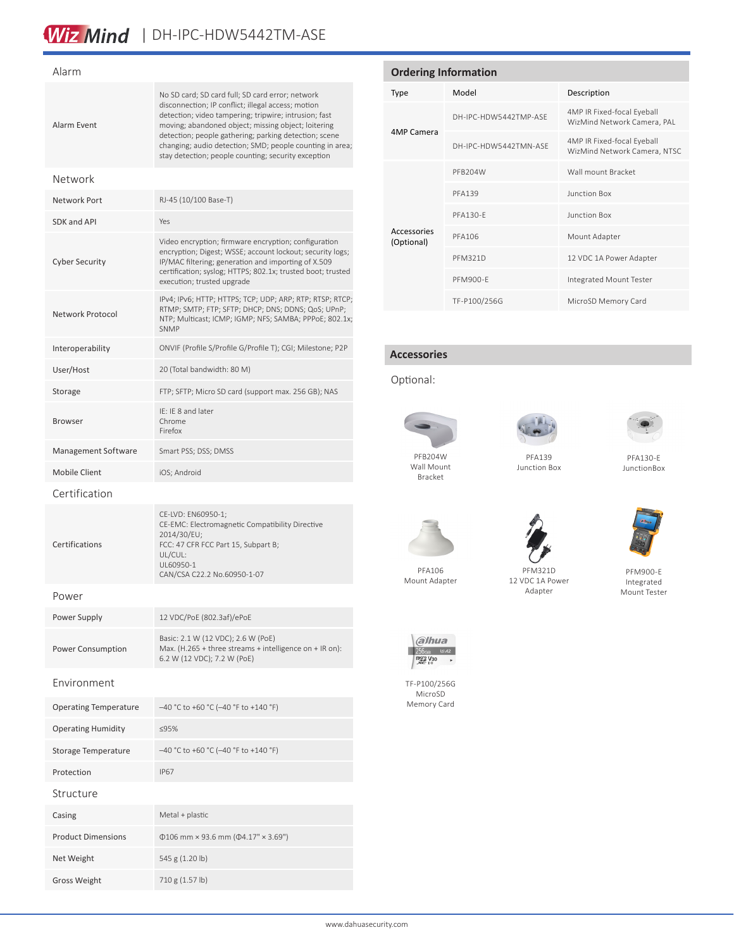# Wiz Mind | DH-IPC-HDW5442TM-ASE

# Alarm Alarm Event No SD card; SD card full; SD card error; network disconnection; IP conflict; illegal access; motion detection; video tampering; tripwire; intrusion; fast moving; abandoned object; missing object; loitering detection; people gathering; parking detection; scene changing; audio detection; SMD; people counting in area; stay detection; people counting; security exception Network Network Port RJ-45 (10/100 Base-T) SDK and API Yes Cyber Security Video encryption; firmware encryption; configuration encryption; Digest; WSSE; account lockout; security logs; IP/MAC filtering; generation and importing of X.509 certification; syslog; HTTPS; 802.1x; trusted boot; trusted execution; trusted upgrade Network Protocol IPv4; IPv6; HTTP; HTTPS; TCP; UDP; ARP; RTP; RTSP; RTCP; RTMP; SMTP; FTP; SFTP; DHCP; DNS; DDNS; QoS; UPnP; NTP; Multicast; ICMP; IGMP; NFS; SAMBA; PPPoE; 802.1x; SNMP Interoperability ONVIF (Profile S/Profile G/Profile T); CGI; Milestone; P2P User/Host 20 (Total bandwidth: 80 M) Storage FTP; SFTP; Micro SD card (support max. 256 GB); NAS Browser IE: IE 8 and later Chrome Firefox Management Software Smart PSS; DSS; DMSS Mobile Client iOS: Android Certification Certifications CE-LVD: EN60950-1; CE-EMC: Electromagnetic Compatibility Directive 2014/30/EU; FCC: 47 CFR FCC Part 15, Subpart B; UL/CUL: UL60950-1 CAN/CSA C22.2 No.60950-1-07 Power Power Supply 12 VDC/PoE (802.3af)/ePoE Power Consumption Basic: 2.1 W (12 VDC); 2.6 W (PoE) Max. (H.265 + three streams + intelligence on + IR on): 6.2 W (12 VDC); 7.2 W (PoE) Environment Operating Temperature –40 °C to +60 °C (–40 °F to +140 °F) Operating Humidity ≤95% Storage Temperature –40 °C to +60 °C (–40 °F to +140 °F) Protection IP67

# Structure Casing Metal + plastic Product Dimensions Φ106 mm × 93.6 mm (Φ4.17" × 3.69") Net Weight 545 g (1.20 lb) Gross Weight 710 g (1.57 lb)

# **Ordering Information** Type Model Description 4MP Camera DH-IPC-HDW5442TMP-ASE 4MP IR Fixed-focal Eyeball WizMind Network Camera, PAL DH-IPC-HDW5442TMN-ASE 4MP IR Fixed-focal Eyeball WizMind Network Camera, NTSC Accessories (Optional) PFB204W Wall mount Bracket PFA139 Junction Box PFA130-E Junction Box PFA106 Mount Adapter PFM321D 12 VDC 1A Power Adapter PFM900-E Integrated Mount Tester TF-P100/256G MicroSD Memory Card

# **Accessories**

# Optional:



Wall Mount Bracket





PFA130-E **JunctionBox** 

PFA139 Junction Box



PFM900-E Integrated Mount Tester



PFA106 Mount Adapter



TF-P100/256G MicroSD Memory Card

PFM321D 12 VDC 1A Power Adapter